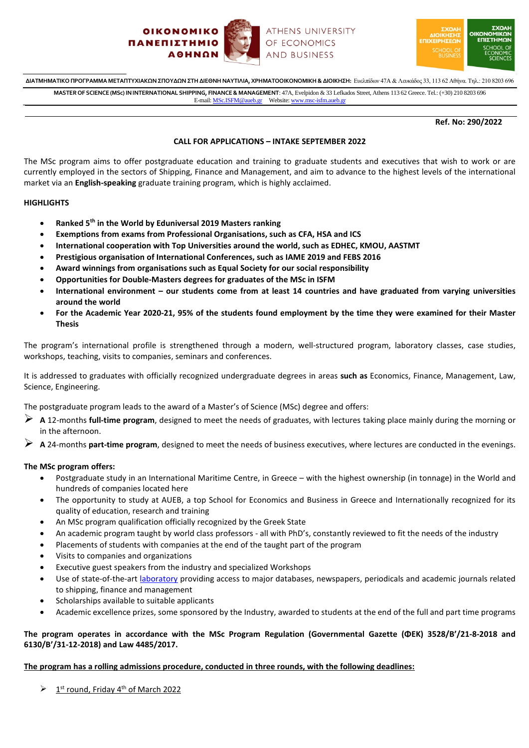



**ΔΙΑΤΜΗΜΑΤΙΚΟ ΠΡΟΓΡΑΜΜΑ ΜΕΤΑΠΤΥΧΙΑΚΩΝ ΣΠΟΥΔΩΝ ΣΤΗ ΔΙΕΘΝΗ ΝΑΥΤΙΛΙΑ, ΧΡΗΜΑΤΟΟΙΚΟΝΟΜΙΚΗ & ΔΙΟΙΚΗΣΗ:** Ευελπίδων 47A & Λευκάδος 33, 113 62 Αθήνα. Tηλ.: 210 8203 696

**MASTER OF SCIENCE (MSc) IN INTERNATIONAL SHIPPING, FINANCE & MANAGEMENT**: 47A, Evelpidon & 33 Lefkados Street, Athens 113 62 Greece. Tel.: (+30) 210 8203 696 E-mail[: MSc.ISFM@aueb.gr](mailto:MSc.ISFM@aueb.gr) Website[: www.msc-isfm.aueb.gr](http://www.msc-isfm.aueb.gr/)

#### **Ref. No: 290/2022**

## **CALL FOR APPLICATIONS – INTAKE SEPTEMBER 2022**

The MSc program aims to offer postgraduate education and training to graduate students and executives that wish to work or are currently employed in the sectors of Shipping, Finance and Management, and aim to advance to the highest levels of the international market via an **English-speaking** graduate training program, which is highly acclaimed.

### **HIGHLIGHTS**

- **Ranked 5th in the World by Eduniversal 2019 Masters ranking**
- **Exemptions from exams from Professional Organisations, such as CFA, HSA and ICS**
- **International cooperation with Top Universities around the world, such as EDHEC, KMOU, AASTMT**
- **Prestigious organisation of International Conferences, such as IAME 2019 and FEBS 2016**
- **Award winnings from organisations such as Equal Society for our social responsibility**
- **Opportunities for Double-Masters degrees for graduates of the MSc in ISFM**
- **International environment – our students come from at least 14 countries and have graduated from varying universities around the world**
- **For the Academic Year 2020-21, 95% of the students found employment by the time they were examined for their Master Thesis**

The program's international profile is strengthened through a modern, well-structured program, laboratory classes, case studies, workshops, teaching, visits to companies, seminars and conferences.

It is addressed to graduates with officially recognized undergraduate degrees in areas **such as** Economics, Finance, Management, Law, Science, Engineering.

The postgraduate program leads to the award of a Master's of Science (MSc) degree and offers:

- **A** 12-months **full-time program**, designed to meet the needs of graduates, with lectures taking place mainly during the morning or in the afternoon.
- **A** 24-months **part-time program**, designed to meet the needs of business executives, where lectures are conducted in the evenings.

### **The MSc program offers:**

- Postgraduate study in an International Maritime Centre, in Greece with the highest ownership (in tonnage) in the World and hundreds of companies located here
- The opportunity to study at AUEB, a top School for Economics and Business in Greece and Internationally recognized for its quality of education, research and training
- An MSc program qualification officially recognized by the Greek State
- An academic program taught by world class professors all with PhD's, constantly reviewed to fit the needs of the industry
- Placements of students with companies at the end of the taught part of the program
- Visits to companies and organizations
- Executive guest speakers from the industry and specialized Workshops
- Use of state-of-the-art [laboratory](https://www.dept.aueb.gr/en/isfm) providing access to major databases, newspapers, periodicals and academic journals related to shipping, finance and management
- Scholarships available to suitable applicants
- Academic excellence prizes, some sponsored by the Industry, awarded to students at the end of the full and part time programs

### **The program operates in accordance with the MSc Program Regulation (Governmental Gazette (ΦΕΚ) 3528/B'/21-8-2018 and 6130/B'/31-12-2018) and Law 4485/2017.**

# **The program has a rolling admissions procedure, conducted in three rounds, with the following deadlines:**

1<sup>st</sup> round, Friday 4<sup>th</sup> of March 2022